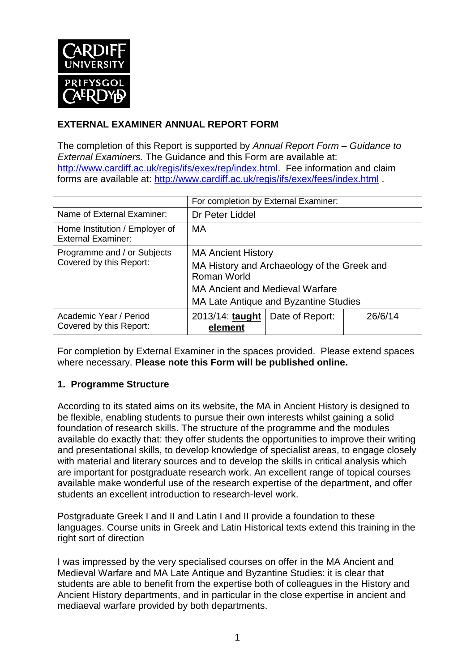

## **EXTERNAL EXAMINER ANNUAL REPORT FORM**

The completion of this Report is supported by *Annual Report Form – Guidance to External Examiners.* The Guidance and this Form are available at: [http://www.cardiff.ac.uk/regis/ifs/exex/rep/index.html.](http://www.cardiff.ac.uk/regis/ifs/exex/rep/index.html) Fee information and claim forms are available at:<http://www.cardiff.ac.uk/regis/ifs/exex/fees/index.html> .

|                                                             | For completion by External Examiner:                                                                                                                                       |                 |         |  |
|-------------------------------------------------------------|----------------------------------------------------------------------------------------------------------------------------------------------------------------------------|-----------------|---------|--|
| Name of External Examiner:                                  | Dr Peter Liddel                                                                                                                                                            |                 |         |  |
| Home Institution / Employer of<br><b>External Examiner:</b> | MA                                                                                                                                                                         |                 |         |  |
| Programme and / or Subjects<br>Covered by this Report:      | <b>MA Ancient History</b><br>MA History and Archaeology of the Greek and<br>Roman World<br><b>MA Ancient and Medieval Warfare</b><br>MA Late Antique and Byzantine Studies |                 |         |  |
| Academic Year / Period<br>Covered by this Report:           | 2013/14: taught<br>element                                                                                                                                                 | Date of Report: | 26/6/14 |  |

For completion by External Examiner in the spaces provided. Please extend spaces where necessary. **Please note this Form will be published online.**

## **1. Programme Structure**

According to its stated aims on its website, the MA in Ancient History is designed to be flexible, enabling students to pursue their own interests whilst gaining a solid foundation of research skills. The structure of the programme and the modules available do exactly that: they offer students the opportunities to improve their writing and presentational skills, to develop knowledge of specialist areas, to engage closely with material and literary sources and to develop the skills in critical analysis which are important for postgraduate research work. An excellent range of topical courses available make wonderful use of the research expertise of the department, and offer students an excellent introduction to research-level work.

Postgraduate Greek I and II and Latin I and II provide a foundation to these languages. Course units in Greek and Latin Historical texts extend this training in the right sort of direction

I was impressed by the very specialised courses on offer in the MA Ancient and Medieval Warfare and MA Late Antique and Byzantine Studies: it is clear that students are able to benefit from the expertise both of colleagues in the History and Ancient History departments, and in particular in the close expertise in ancient and mediaeval warfare provided by both departments.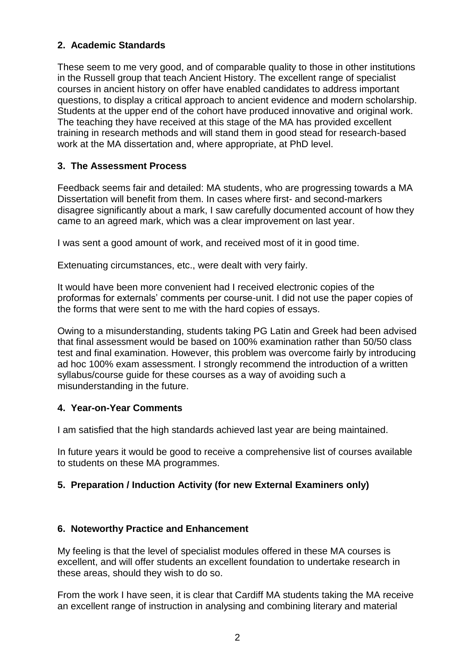## **2. Academic Standards**

These seem to me very good, and of comparable quality to those in other institutions in the Russell group that teach Ancient History. The excellent range of specialist courses in ancient history on offer have enabled candidates to address important questions, to display a critical approach to ancient evidence and modern scholarship. Students at the upper end of the cohort have produced innovative and original work. The teaching they have received at this stage of the MA has provided excellent training in research methods and will stand them in good stead for research-based work at the MA dissertation and, where appropriate, at PhD level.

## **3. The Assessment Process**

Feedback seems fair and detailed: MA students, who are progressing towards a MA Dissertation will benefit from them. In cases where first- and second-markers disagree significantly about a mark, I saw carefully documented account of how they came to an agreed mark, which was a clear improvement on last year.

I was sent a good amount of work, and received most of it in good time.

Extenuating circumstances, etc., were dealt with very fairly.

It would have been more convenient had I received electronic copies of the proformas for externals' comments per course-unit. I did not use the paper copies of the forms that were sent to me with the hard copies of essays.

Owing to a misunderstanding, students taking PG Latin and Greek had been advised that final assessment would be based on 100% examination rather than 50/50 class test and final examination. However, this problem was overcome fairly by introducing ad hoc 100% exam assessment. I strongly recommend the introduction of a written syllabus/course guide for these courses as a way of avoiding such a misunderstanding in the future.

## **4. Year-on-Year Comments**

I am satisfied that the high standards achieved last year are being maintained.

In future years it would be good to receive a comprehensive list of courses available to students on these MA programmes.

## **5. Preparation / Induction Activity (for new External Examiners only)**

## **6. Noteworthy Practice and Enhancement**

My feeling is that the level of specialist modules offered in these MA courses is excellent, and will offer students an excellent foundation to undertake research in these areas, should they wish to do so.

From the work I have seen, it is clear that Cardiff MA students taking the MA receive an excellent range of instruction in analysing and combining literary and material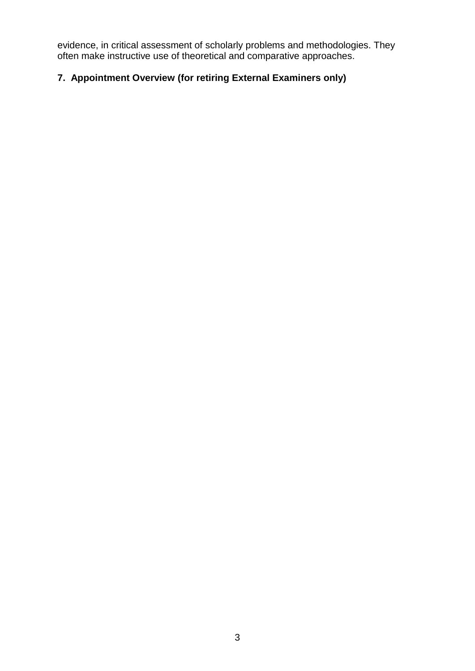evidence, in critical assessment of scholarly problems and methodologies. They often make instructive use of theoretical and comparative approaches.

# **7. Appointment Overview (for retiring External Examiners only)**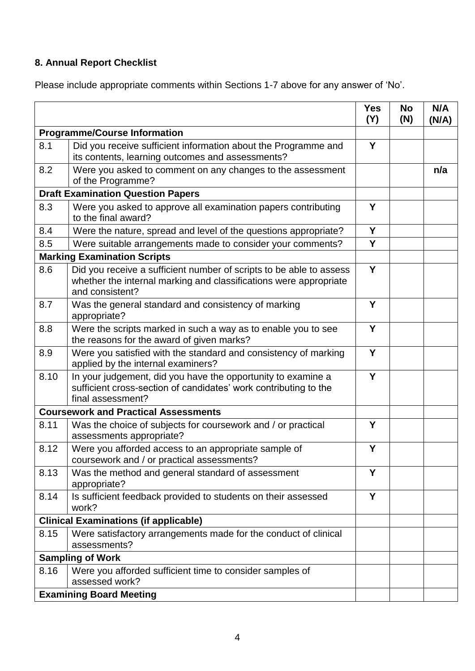# **8. Annual Report Checklist**

Please include appropriate comments within Sections 1-7 above for any answer of 'No'.

|                                             |                                                                                                                                                             | <b>Yes</b><br>(Y) | <b>No</b><br>(N) | N/A<br>(N/A) |
|---------------------------------------------|-------------------------------------------------------------------------------------------------------------------------------------------------------------|-------------------|------------------|--------------|
| <b>Programme/Course Information</b>         |                                                                                                                                                             |                   |                  |              |
| 8.1                                         | Did you receive sufficient information about the Programme and<br>its contents, learning outcomes and assessments?                                          | Y                 |                  |              |
| 8.2                                         | Were you asked to comment on any changes to the assessment<br>of the Programme?                                                                             |                   |                  | n/a          |
| <b>Draft Examination Question Papers</b>    |                                                                                                                                                             |                   |                  |              |
| 8.3                                         | Were you asked to approve all examination papers contributing<br>to the final award?                                                                        |                   |                  |              |
| 8.4                                         | Were the nature, spread and level of the questions appropriate?                                                                                             | Y                 |                  |              |
| 8.5                                         | Were suitable arrangements made to consider your comments?                                                                                                  | Y                 |                  |              |
|                                             | <b>Marking Examination Scripts</b>                                                                                                                          |                   |                  |              |
| 8.6                                         | Did you receive a sufficient number of scripts to be able to assess<br>whether the internal marking and classifications were appropriate<br>and consistent? | Y                 |                  |              |
| 8.7                                         | Was the general standard and consistency of marking<br>appropriate?                                                                                         | Y                 |                  |              |
| 8.8                                         | Were the scripts marked in such a way as to enable you to see<br>the reasons for the award of given marks?                                                  | Y                 |                  |              |
| 8.9                                         | Were you satisfied with the standard and consistency of marking<br>applied by the internal examiners?                                                       | Y                 |                  |              |
| 8.10                                        | In your judgement, did you have the opportunity to examine a<br>sufficient cross-section of candidates' work contributing to the<br>final assessment?       | Y                 |                  |              |
| <b>Coursework and Practical Assessments</b> |                                                                                                                                                             |                   |                  |              |
| 8.11                                        | Was the choice of subjects for coursework and / or practical<br>assessments appropriate?                                                                    | Y                 |                  |              |
| 8.12                                        | Were you afforded access to an appropriate sample of<br>coursework and / or practical assessments?                                                          | Y                 |                  |              |
| 8.13                                        | Was the method and general standard of assessment<br>appropriate?                                                                                           | Y                 |                  |              |
| 8.14                                        | Is sufficient feedback provided to students on their assessed<br>work?                                                                                      | Y                 |                  |              |
|                                             | <b>Clinical Examinations (if applicable)</b>                                                                                                                |                   |                  |              |
| 8.15                                        | Were satisfactory arrangements made for the conduct of clinical<br>assessments?                                                                             |                   |                  |              |
| <b>Sampling of Work</b>                     |                                                                                                                                                             |                   |                  |              |
| 8.16                                        | Were you afforded sufficient time to consider samples of<br>assessed work?                                                                                  |                   |                  |              |
|                                             | <b>Examining Board Meeting</b>                                                                                                                              |                   |                  |              |